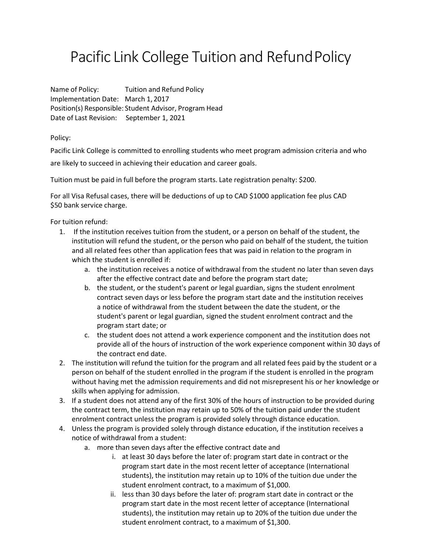## Pacific Link College Tuition and RefundPolicy

Name of Policy: Tuition and Refund Policy Implementation Date: March 1, 2017 Position(s) Responsible: Student Advisor, Program Head Date of Last Revision: September 1, 2021

Policy:

Pacific Link College is committed to enrolling students who meet program admission criteria and who

are likely to succeed in achieving their education and career goals.

Tuition must be paid in full before the program starts. Late registration penalty: \$200.

For all Visa Refusal cases, there will be deductions of up to CAD \$1000 application fee plus CAD \$50 bank service charge.

For tuition refund:

- 1. If the institution receives tuition from the student, or a person on behalf of the student, the institution will refund the student, or the person who paid on behalf of the student, the tuition and all related fees other than application fees that was paid in relation to the program in which the student is enrolled if:
	- a. the institution receives a notice of withdrawal from the student no later than seven days after the effective contract date and before the program start date;
	- b. the student, or the student's parent or legal guardian, signs the student enrolment contract seven days or less before the program start date and the institution receives a notice of withdrawal from the student between the date the student, or the student's parent or legal guardian, signed the student enrolment contract and the program start date; or
	- c. the student does not attend a work experience component and the institution does not provide all of the hours of instruction of the work experience component within 30 days of the contract end date.
- 2. The institution will refund the tuition for the program and all related fees paid by the student or a person on behalf of the student enrolled in the program if the student is enrolled in the program without having met the admission requirements and did not misrepresent his or her knowledge or skills when applying for admission.
- 3. If a student does not attend any of the first 30% of the hours of instruction to be provided during the contract term, the institution may retain up to 50% of the tuition paid under the student enrolment contract unless the program is provided solely through distance education.
- 4. Unless the program is provided solely through distance education, if the institution receives a notice of withdrawal from a student:
	- a. more than seven days after the effective contract date and
		- i. at least 30 days before the later of: program start date in contract or the program start date in the most recent letter of acceptance (International students), the institution may retain up to 10% of the tuition due under the student enrolment contract, to a maximum of \$1,000.
		- ii. less than 30 days before the later of: program start date in contract or the program start date in the most recent letter of acceptance (International students), the institution may retain up to 20% of the tuition due under the student enrolment contract, to a maximum of \$1,300.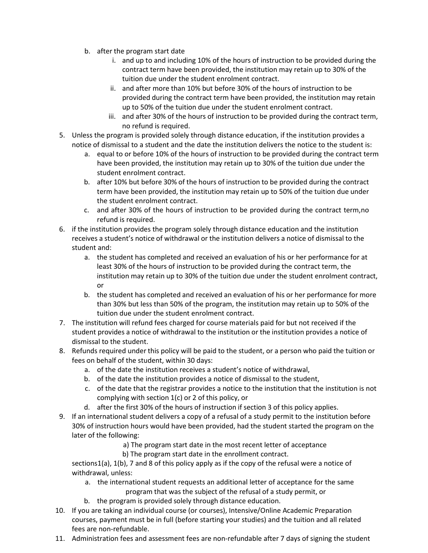- b. after the program start date
	- i. and up to and including 10% of the hours of instruction to be provided during the contract term have been provided, the institution may retain up to 30% of the tuition due under the student enrolment contract.
	- ii. and after more than 10% but before 30% of the hours of instruction to be provided during the contract term have been provided, the institution may retain up to 50% of the tuition due under the student enrolment contract.
	- iii. and after 30% of the hours of instruction to be provided during the contract term, no refund is required.
- 5. Unless the program is provided solely through distance education, if the institution provides a notice of dismissal to a student and the date the institution delivers the notice to the student is:
	- a. equal to or before 10% of the hours of instruction to be provided during the contract term have been provided, the institution may retain up to 30% of the tuition due under the student enrolment contract.
	- b. after 10% but before 30% of the hours of instruction to be provided during the contract term have been provided, the institution may retain up to 50% of the tuition due under the student enrolment contract.
	- c. and after 30% of the hours of instruction to be provided during the contract term,no refund is required.
- 6. if the institution provides the program solely through distance education and the institution receives a student's notice of withdrawal or the institution delivers a notice of dismissal to the student and:
	- a. the student has completed and received an evaluation of his or her performance for at least 30% of the hours of instruction to be provided during the contract term, the institution may retain up to 30% of the tuition due under the student enrolment contract, or
	- b. the student has completed and received an evaluation of his or her performance for more than 30% but less than 50% of the program, the institution may retain up to 50% of the tuition due under the student enrolment contract.
- 7. The institution will refund fees charged for course materials paid for but not received if the student provides a notice of withdrawal to the institution or the institution provides a notice of dismissal to the student.
- 8. Refunds required under this policy will be paid to the student, or a person who paid the tuition or fees on behalf of the student, within 30 days:
	- a. of the date the institution receives a student's notice of withdrawal,
	- b. of the date the institution provides a notice of dismissal to the student,
	- c. of the date that the registrar provides a notice to the institution that the institution is not complying with section 1(c) or 2 of this policy, or
	- d. after the first 30% of the hours of instruction if section 3 of this policy applies.
- 9. If an international student delivers a copy of a refusal of a study permit to the institution before 30% of instruction hours would have been provided, had the student started the program on the later of the following:
	- a) The program start date in the most recent letter of acceptance
	- b) The program start date in the enrollment contract.

sections1(a), 1(b), 7 and 8 of this policy apply as if the copy of the refusal were a notice of withdrawal, unless:

- a. the international student requests an additional letter of acceptance for the same program that was the subject of the refusal of a study permit, or
- b. the program is provided solely through distance education.
- 10. If you are taking an individual course (or courses), Intensive/Online Academic Preparation courses, payment must be in full (before starting your studies) and the tuition and all related fees are non-refundable.
- 11. Administration fees and assessment fees are non-refundable after 7 days of signing the student